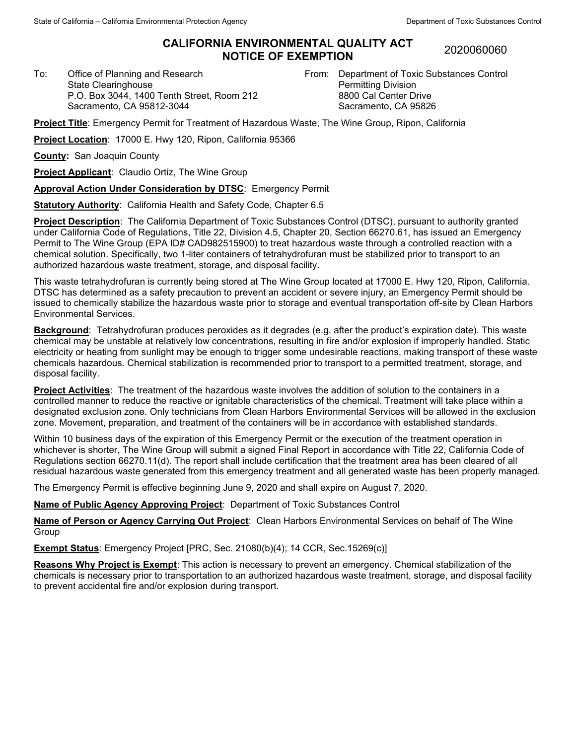## **CALIFORNIA ENVIRONMENTAL QUALITY ACT NOTICE OF EXEMPTION**

2020060060

To: Office of Planning and Research State Clearinghouse P.O. Box 3044, 1400 Tenth Street, Room 212 Sacramento, CA 95812-3044

From: Department of Toxic Substances Control Permitting Division 8800 Cal Center Drive Sacramento, CA 95826

**Project Title**: Emergency Permit for Treatment of Hazardous Waste, The Wine Group, Ripon, California

**Project Location**: 17000 E. Hwy 120, Ripon, California 95366

**County:** San Joaquin County

**Project Applicant**: Claudio Ortiz, The Wine Group

**Approval Action Under Consideration by DTSC**: Emergency Permit

**Statutory Authority**: California Health and Safety Code, Chapter 6.5

**Project Description**: The California Department of Toxic Substances Control (DTSC), pursuant to authority granted under California Code of Regulations, Title 22, Division 4.5, Chapter 20, Section 66270.61, has issued an Emergency Permit to The Wine Group (EPA ID# CAD982515900) to treat hazardous waste through a controlled reaction with a chemical solution. Specifically, two 1-liter containers of tetrahydrofuran must be stabilized prior to transport to an authorized hazardous waste treatment, storage, and disposal facility.

This waste tetrahydrofuran is currently being stored at The Wine Group located at 17000 E. Hwy 120, Ripon, California. DTSC has determined as a safety precaution to prevent an accident or severe injury, an Emergency Permit should be issued to chemically stabilize the hazardous waste prior to storage and eventual transportation off-site by Clean Harbors Environmental Services.

**Background**: Tetrahydrofuran produces peroxides as it degrades (e.g. after the product's expiration date). This waste chemical may be unstable at relatively low concentrations, resulting in fire and/or explosion if improperly handled. Static electricity or heating from sunlight may be enough to trigger some undesirable reactions, making transport of these waste chemicals hazardous. Chemical stabilization is recommended prior to transport to a permitted treatment, storage, and disposal facility.

**Project Activities**: The treatment of the hazardous waste involves the addition of solution to the containers in a controlled manner to reduce the reactive or ignitable characteristics of the chemical. Treatment will take place within a designated exclusion zone. Only technicians from Clean Harbors Environmental Services will be allowed in the exclusion zone. Movement, preparation, and treatment of the containers will be in accordance with established standards.

Within 10 business days of the expiration of this Emergency Permit or the execution of the treatment operation in whichever is shorter, The Wine Group will submit a signed Final Report in accordance with Title 22, California Code of Regulations section 66270.11(d). The report shall include certification that the treatment area has been cleared of all residual hazardous waste generated from this emergency treatment and all generated waste has been properly managed.

The Emergency Permit is effective beginning June 9, 2020 and shall expire on August 7, 2020.

**Name of Public Agency Approving Project**: Department of Toxic Substances Control

**Name of Person or Agency Carrying Out Project**: Clean Harbors Environmental Services on behalf of The Wine **Group** 

**Exempt Status**: Emergency Project [PRC, Sec. 21080(b)(4); 14 CCR, Sec.15269(c)]

**Reasons Why Project is Exempt**: This action is necessary to prevent an emergency. Chemical stabilization of the chemicals is necessary prior to transportation to an authorized hazardous waste treatment, storage, and disposal facility to prevent accidental fire and/or explosion during transport.